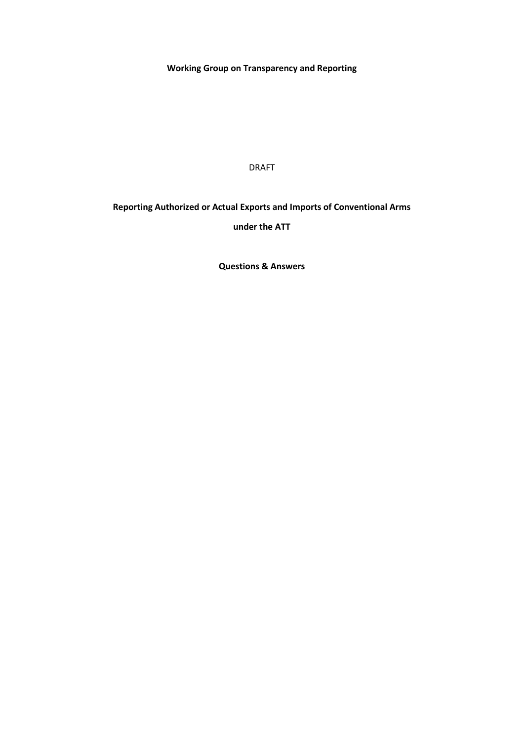**Working Group on Transparency and Reporting**

DRAFT

# **Reporting Authorized or Actual Exports and Imports of Conventional Arms**

**under the ATT**

**Questions & Answers**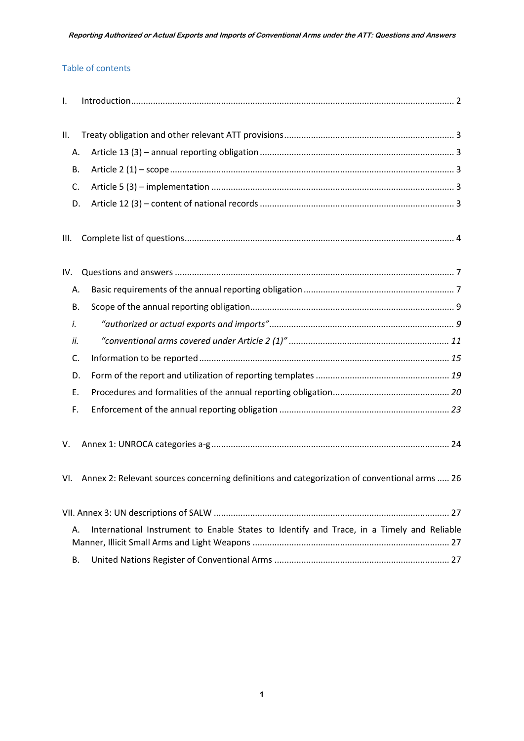#### Table of contents

<span id="page-1-0"></span>

| Τ.   |                                                                                              |
|------|----------------------------------------------------------------------------------------------|
|      |                                                                                              |
| Ш.   |                                                                                              |
| А.   |                                                                                              |
| В.   |                                                                                              |
| C.   |                                                                                              |
| D.   |                                                                                              |
| III. |                                                                                              |
| IV.  |                                                                                              |
| Α.   |                                                                                              |
| В.   |                                                                                              |
| i.   |                                                                                              |
| ii.  |                                                                                              |
| C.   |                                                                                              |
| D.   |                                                                                              |
| Ε.   |                                                                                              |
| F.   |                                                                                              |
| V.   |                                                                                              |
| VI.  | Annex 2: Relevant sources concerning definitions and categorization of conventional arms  26 |
|      |                                                                                              |
| А.   | International Instrument to Enable States to Identify and Trace, in a Timely and Reliable    |
| В.   |                                                                                              |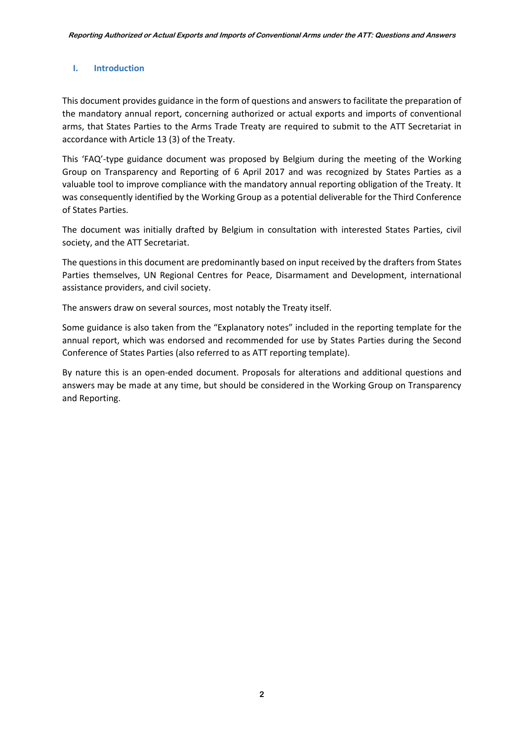### **I. Introduction**

This document provides guidance in the form of questions and answers to facilitate the preparation of the mandatory annual report, concerning authorized or actual exports and imports of conventional arms, that States Parties to the Arms Trade Treaty are required to submit to the ATT Secretariat in accordance with Article 13 (3) of the Treaty.

This 'FAQ'-type guidance document was proposed by Belgium during the meeting of the Working Group on Transparency and Reporting of 6 April 2017 and was recognized by States Parties as a valuable tool to improve compliance with the mandatory annual reporting obligation of the Treaty. It was consequently identified by the Working Group as a potential deliverable for the Third Conference of States Parties.

The document was initially drafted by Belgium in consultation with interested States Parties, civil society, and the ATT Secretariat.

The questions in this document are predominantly based on input received by the drafters from States Parties themselves, UN Regional Centres for Peace, Disarmament and Development, international assistance providers, and civil society.

The answers draw on several sources, most notably the Treaty itself.

Some guidance is also taken from the "Explanatory notes" included in the reporting template for the annual report, which was endorsed and recommended for use by States Parties during the Second Conference of States Parties (also referred to as ATT reporting template).

<span id="page-2-0"></span>By nature this is an open-ended document. Proposals for alterations and additional questions and answers may be made at any time, but should be considered in the Working Group on Transparency and Reporting.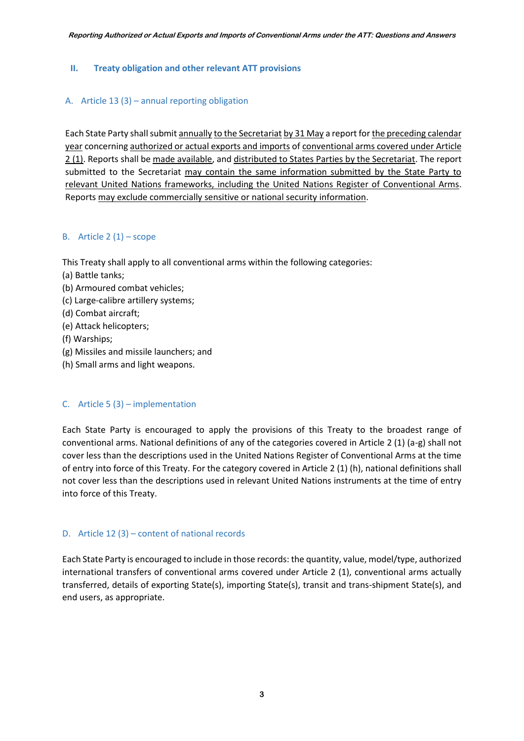### **II. Treaty obligation and other relevant ATT provisions**

### <span id="page-3-0"></span>A. Article 13 (3) – annual reporting obligation

Each State Party shallsubmit annually to the Secretariat by 31 May a report for the preceding calendar year concerning authorized or actual exports and imports of conventional arms covered under Article 2 (1). Reports shall be made available, and distributed to States Parties by the Secretariat. The report submitted to the Secretariat may contain the same information submitted by the State Party to relevant United Nations frameworks, including the United Nations Register of Conventional Arms. Reports may exclude commercially sensitive or national security information.

#### <span id="page-3-1"></span>B. Article  $2(1)$  – scope

This Treaty shall apply to all conventional arms within the following categories:

- (a) Battle tanks;
- (b) Armoured combat vehicles;
- (c) Large-calibre artillery systems;
- (d) Combat aircraft;
- (e) Attack helicopters;
- (f) Warships;
- (g) Missiles and missile launchers; and
- (h) Small arms and light weapons.

#### <span id="page-3-2"></span>C. Article  $5(3)$  – implementation

Each State Party is encouraged to apply the provisions of this Treaty to the broadest range of conventional arms. National definitions of any of the categories covered in Article 2 (1) (a-g) shall not cover less than the descriptions used in the United Nations Register of Conventional Arms at the time of entry into force of this Treaty. For the category covered in Article 2 (1) (h), national definitions shall not cover less than the descriptions used in relevant United Nations instruments at the time of entry into force of this Treaty.

#### <span id="page-3-3"></span>D. Article 12 (3) – content of national records

Each State Party is encouraged to include in those records: the quantity, value, model/type, authorized international transfers of conventional arms covered under Article 2 (1), conventional arms actually transferred, details of exporting State(s), importing State(s), transit and trans-shipment State(s), and end users, as appropriate.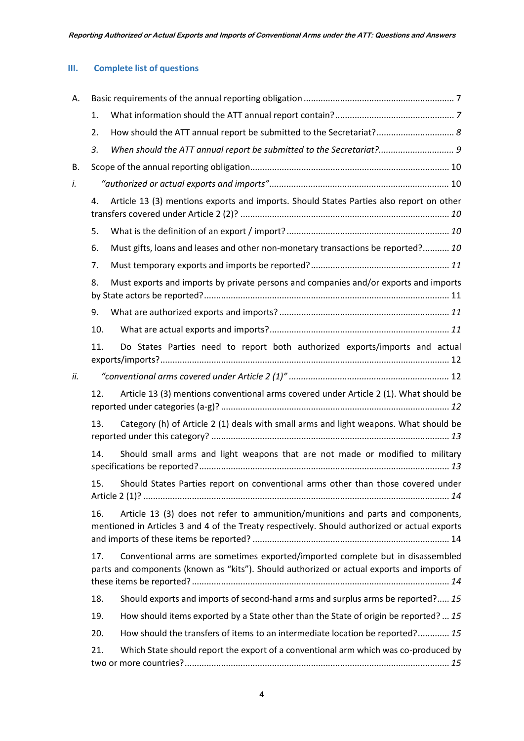## <span id="page-4-0"></span>**III. Complete list of questions**

| Α.  |     |                                                                                                                                                                                  |  |  |  |
|-----|-----|----------------------------------------------------------------------------------------------------------------------------------------------------------------------------------|--|--|--|
|     | 1.  |                                                                                                                                                                                  |  |  |  |
|     | 2.  | How should the ATT annual report be submitted to the Secretariat? 8                                                                                                              |  |  |  |
|     | 3.  | When should the ATT annual report be submitted to the Secretariat? 9                                                                                                             |  |  |  |
| В.  |     |                                                                                                                                                                                  |  |  |  |
| i.  |     |                                                                                                                                                                                  |  |  |  |
|     | 4.  | Article 13 (3) mentions exports and imports. Should States Parties also report on other                                                                                          |  |  |  |
|     | 5.  |                                                                                                                                                                                  |  |  |  |
|     | 6.  | Must gifts, loans and leases and other non-monetary transactions be reported? 10                                                                                                 |  |  |  |
|     | 7.  |                                                                                                                                                                                  |  |  |  |
|     | 8.  | Must exports and imports by private persons and companies and/or exports and imports                                                                                             |  |  |  |
|     | 9.  |                                                                                                                                                                                  |  |  |  |
|     | 10. |                                                                                                                                                                                  |  |  |  |
|     | 11. | Do States Parties need to report both authorized exports/imports and actual                                                                                                      |  |  |  |
| ii. |     |                                                                                                                                                                                  |  |  |  |
|     | 12. | Article 13 (3) mentions conventional arms covered under Article 2 (1). What should be                                                                                            |  |  |  |
|     | 13. | Category (h) of Article 2 (1) deals with small arms and light weapons. What should be                                                                                            |  |  |  |
|     | 14. | Should small arms and light weapons that are not made or modified to military                                                                                                    |  |  |  |
|     | 15. | Should States Parties report on conventional arms other than those covered under                                                                                                 |  |  |  |
|     | 16. | Article 13 (3) does not refer to ammunition/munitions and parts and components,<br>mentioned in Articles 3 and 4 of the Treaty respectively. Should authorized or actual exports |  |  |  |
|     | 17. | Conventional arms are sometimes exported/imported complete but in disassembled<br>parts and components (known as "kits"). Should authorized or actual exports and imports of     |  |  |  |
|     | 18. | Should exports and imports of second-hand arms and surplus arms be reported? 15                                                                                                  |  |  |  |
|     | 19. | How should items exported by a State other than the State of origin be reported?  15                                                                                             |  |  |  |
|     | 20. | How should the transfers of items to an intermediate location be reported? 15                                                                                                    |  |  |  |
|     | 21. | Which State should report the export of a conventional arm which was co-produced by                                                                                              |  |  |  |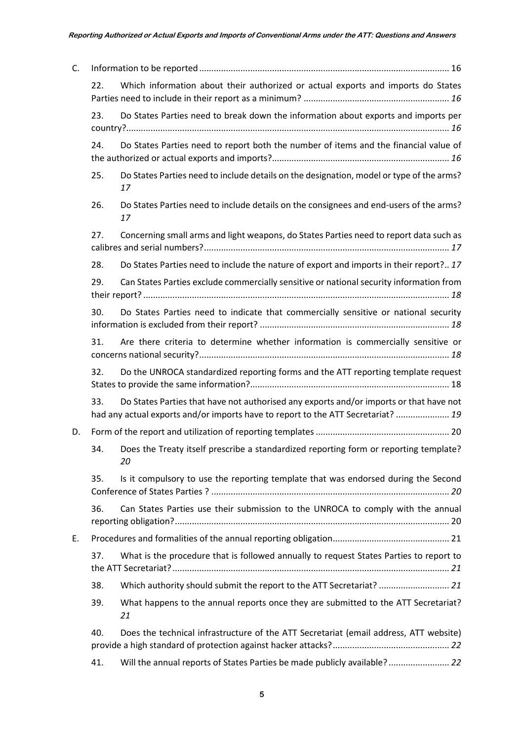| C. |     |                                                                                                                                                                            |
|----|-----|----------------------------------------------------------------------------------------------------------------------------------------------------------------------------|
|    | 22. | Which information about their authorized or actual exports and imports do States                                                                                           |
|    | 23. | Do States Parties need to break down the information about exports and imports per                                                                                         |
|    | 24. | Do States Parties need to report both the number of items and the financial value of                                                                                       |
|    | 25. | Do States Parties need to include details on the designation, model or type of the arms?<br>17                                                                             |
|    | 26. | Do States Parties need to include details on the consignees and end-users of the arms?<br>17                                                                               |
|    | 27. | Concerning small arms and light weapons, do States Parties need to report data such as                                                                                     |
|    | 28. | Do States Parties need to include the nature of export and imports in their report? 17                                                                                     |
|    | 29. | Can States Parties exclude commercially sensitive or national security information from                                                                                    |
|    | 30. | Do States Parties need to indicate that commercially sensitive or national security                                                                                        |
|    | 31. | Are there criteria to determine whether information is commercially sensitive or                                                                                           |
|    | 32. | Do the UNROCA standardized reporting forms and the ATT reporting template request                                                                                          |
|    | 33. | Do States Parties that have not authorised any exports and/or imports or that have not<br>had any actual exports and/or imports have to report to the ATT Secretariat?  19 |
| D. |     |                                                                                                                                                                            |
|    | 34. | Does the Treaty itself prescribe a standardized reporting form or reporting template?<br>20                                                                                |
|    | 35. | Is it compulsory to use the reporting template that was endorsed during the Second                                                                                         |
|    | 36. | Can States Parties use their submission to the UNROCA to comply with the annual                                                                                            |
| Е. |     |                                                                                                                                                                            |
|    | 37. | What is the procedure that is followed annually to request States Parties to report to                                                                                     |
|    | 38. | Which authority should submit the report to the ATT Secretariat?  21                                                                                                       |
|    | 39. | What happens to the annual reports once they are submitted to the ATT Secretariat?<br>21                                                                                   |
|    | 40. | Does the technical infrastructure of the ATT Secretariat (email address, ATT website)                                                                                      |
|    | 41. | Will the annual reports of States Parties be made publicly available? 22                                                                                                   |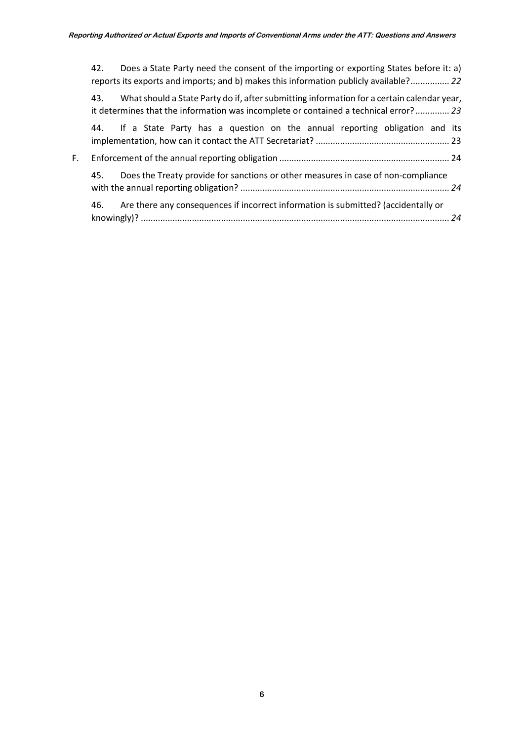<span id="page-6-0"></span>

|    | Does a State Party need the consent of the importing or exporting States before it: a)<br>42.<br>reports its exports and imports; and b) makes this information publicly available? 22    |
|----|-------------------------------------------------------------------------------------------------------------------------------------------------------------------------------------------|
|    | What should a State Party do if, after submitting information for a certain calendar year,<br>43.<br>it determines that the information was incomplete or contained a technical error? 23 |
|    | 44. If a State Party has a question on the annual reporting obligation and its                                                                                                            |
| F. |                                                                                                                                                                                           |
|    | Does the Treaty provide for sanctions or other measures in case of non-compliance<br>45.                                                                                                  |
|    | Are there any consequences if incorrect information is submitted? (accidentally or<br>46.                                                                                                 |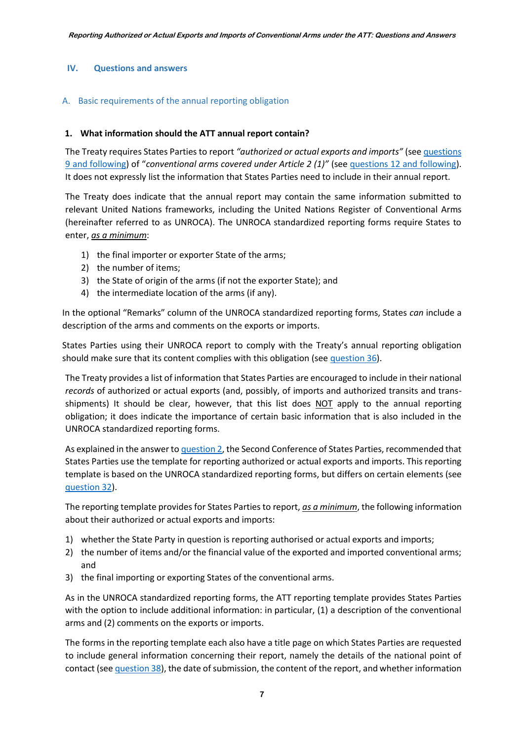### **IV. Questions and answers**

### <span id="page-7-0"></span>A. Basic requirements of the annual reporting obligation

#### <span id="page-7-1"></span>**1. What information should the ATT annual report contain?**

The Treaty requires States Parties to report *"authorized or actual exports and imports"* (see [questions](#page-11-2)  [9 and following](#page-11-2)) of "*conventional arms covered under Article 2 (1)"* (se[e questions 12 and following\)](#page-12-2). It does not expressly list the information that States Parties need to include in their annual report.

The Treaty does indicate that the annual report may contain the same information submitted to relevant United Nations frameworks, including the United Nations Register of Conventional Arms (hereinafter referred to as UNROCA). The UNROCA standardized reporting forms require States to enter, *as a minimum*:

- 1) the final importer or exporter State of the arms;
- 2) the number of items;
- 3) the State of origin of the arms (if not the exporter State); and
- 4) the intermediate location of the arms (if any).

In the optional "Remarks" column of the UNROCA standardized reporting forms, States *can* include a description of the arms and comments on the exports or imports.

States Parties using their UNROCA report to comply with the Treaty's annual reporting obligation should make sure that its content complies with this obligation (see [question 36\)](#page-20-2).

The Treaty provides a list of information that States Parties are encouraged to include in their national *records* of authorized or actual exports (and, possibly, of imports and authorized transits and transshipments) It should be clear, however, that this list does NOT apply to the annual reporting obligation; it does indicate the importance of certain basic information that is also included in the UNROCA standardized reporting forms.

As explained in the answer t[o question 2,](#page-8-0) the Second Conference of States Parties, recommended that States Parties use the template for reporting authorized or actual exports and imports. This reporting template is based on the UNROCA standardized reporting forms, but differs on certain elements (see [question 32\)](#page-18-3).

The reporting template provides for States Parties to report, *as a minimum*, the following information about their authorized or actual exports and imports:

- 1) whether the State Party in question is reporting authorised or actual exports and imports;
- 2) the number of items and/or the financial value of the exported and imported conventional arms; and
- 3) the final importing or exporting States of the conventional arms.

As in the UNROCA standardized reporting forms, the ATT reporting template provides States Parties with the option to include additional information: in particular, (1) a description of the conventional arms and (2) comments on the exports or imports.

The forms in the reporting template each also have a title page on which States Parties are requested to include general information concerning their report, namely the details of the national point of contact (se[e question 38\)](#page-21-2), the date of submission, the content of the report, and whether information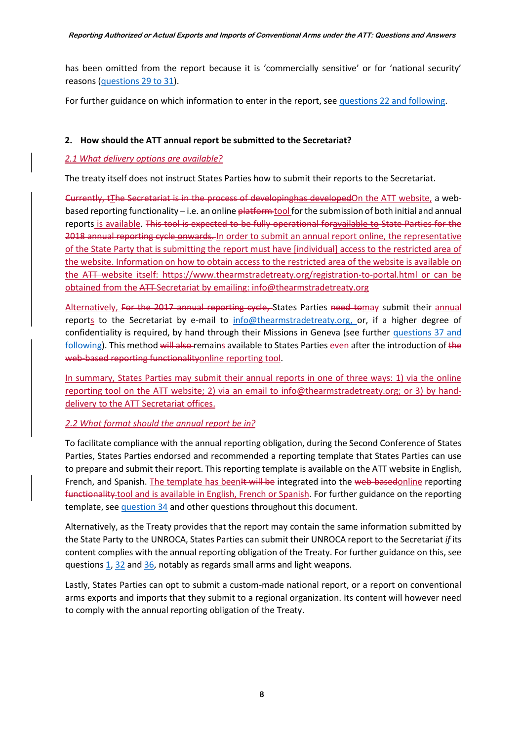has been omitted from the report because it is 'commercially sensitive' or for 'national security' reasons [\(questions 29 to 31\)](#page-18-0).

For further guidance on which information to enter in the report, se[e questions 22 and following.](#page-16-0)

## <span id="page-8-0"></span>**2. How should the ATT annual report be submitted to the Secretariat?**

## *2.1 What delivery options are available?*

The treaty itself does not instruct States Parties how to submit their reports to the Secretariat.

Currently, tThe Secretariat is in the process of developinghas developedOn the ATT website, a webbased reporting functionality – i.e. an online  $\frac{plattorm}{100}$  for the submission of both initial and annual reports is available. This tool is expected to be fully operational foravailable to State Parties for the 2018 annual reporting cycle onwards. In order to submit an annual report online, the representative of the State Party that is submitting the report must have [individual] access to the restricted area of the website. Information on how to obtain access to the restricted area of the website is available on the ATT website itself:<https://www.thearmstradetreaty.org/registration-to-portal.html> or can be obtained from the ATT Secretariat by emailing: [info@thearmstradetreaty.org](mailto:info@thearmstradetreaty.org)

Alternatively, For the 2017 annual reporting cycle, States Parties need tomay submit their annual reports to the Secretariat by e-mail to [info@thearmstradetreaty.org,](mailto:info@thearmstradetreaty.org) or, if a higher degree of confidentiality is required, by hand through their Missions in Geneva (see further [questions 37 and](#page-21-1)  [following\)](#page-21-1). This method will also remains available to States Parties even after the introduction of the web-based reporting functionalityonline reporting tool.

In summary, States Parties may submit their annual reports in one of three ways: 1) via the online reporting tool on the ATT website; 2) via an email to info@thearmstradetreaty.org; or 3) by handdelivery to the ATT Secretariat offices.

### *2.2 What format should the annual report be in?*

To facilitate compliance with the annual reporting obligation, during the Second Conference of States Parties, States Parties endorsed and recommended a reporting template that States Parties can use to prepare and submit their report. This reporting template is available on the ATT website in English, French, and Spanish. The template has beenIt will be integrated into the web-basedonline reporting functionality tool and is available in English, French or Spanish. For further guidance on the reporting template, see [question 34](#page-20-0) and other questions throughout this document.

Alternatively, as the Treaty provides that the report may contain the same information submitted by the State Party to the UNROCA, States Parties can submit their UNROCA report to the Secretariat *if* its content complies with the annual reporting obligation of the Treaty. For further guidance on this, see questions [1,](#page-7-1) [32](#page-18-3) and [36,](#page-20-2) notably as regards small arms and light weapons.

Lastly, States Parties can opt to submit a custom-made national report, or a report on conventional arms exports and imports that they submit to a regional organization. Its content will however need to comply with the annual reporting obligation of the Treaty.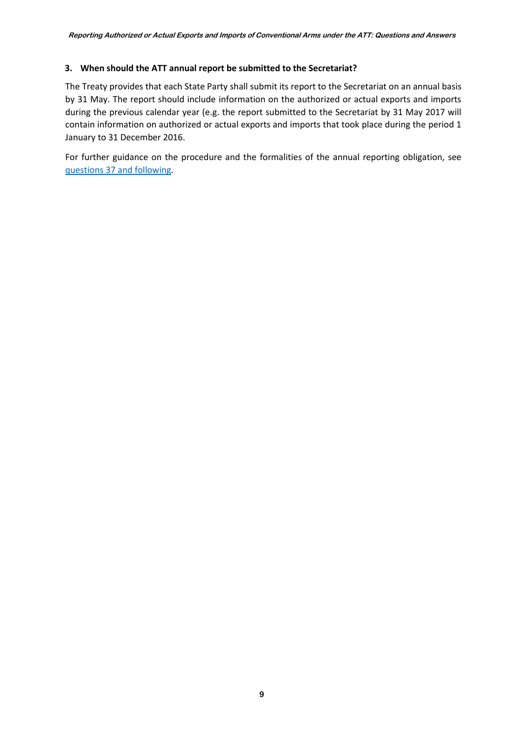### <span id="page-9-1"></span>**3. When should the ATT annual report be submitted to the Secretariat?**

The Treaty provides that each State Party shall submit its report to the Secretariat on an annual basis by 31 May. The report should include information on the authorized or actual exports and imports during the previous calendar year (e.g. the report submitted to the Secretariat by 31 May 2017 will contain information on authorized or actual exports and imports that took place during the period 1 January to 31 December 2016.

<span id="page-9-0"></span>For further guidance on the procedure and the formalities of the annual reporting obligation, see [questions 37 and following.](#page-21-1)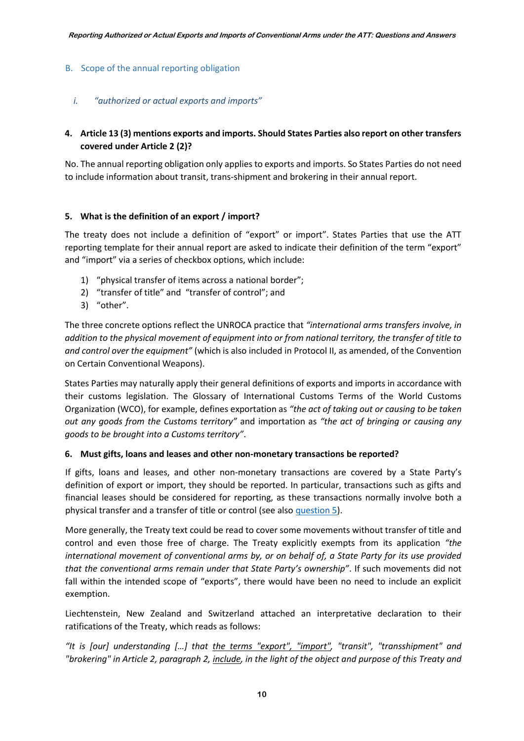### B. Scope of the annual reporting obligation

### <span id="page-10-0"></span>*i. "authorized or actual exports and imports"*

## <span id="page-10-1"></span>**4. Article 13 (3) mentions exports and imports. Should States Parties also report on other transfers covered under Article 2 (2)?**

No. The annual reporting obligation only applies to exports and imports. So States Parties do not need to include information about transit, trans-shipment and brokering in their annual report.

#### <span id="page-10-2"></span>**5. What is the definition of an export / import?**

The treaty does not include a definition of "export" or import". States Parties that use the ATT reporting template for their annual report are asked to indicate their definition of the term "export" and "import" via a series of checkbox options, which include:

- 1) "physical transfer of items across a national border";
- 2) "transfer of title" and "transfer of control"; and
- 3) "other".

The three concrete options reflect the UNROCA practice that *"international arms transfers involve, in addition to the physical movement of equipment into or from national territory, the transfer of title to and control over the equipment"* (which is also included in Protocol II, as amended, of the Convention on Certain Conventional Weapons).

States Parties may naturally apply their general definitions of exports and imports in accordance with their customs legislation. The Glossary of International Customs Terms of the World Customs Organization (WCO), for example, defines exportation as *"the act of taking out or causing to be taken out any goods from the Customs territory"* and importation as *"the act of bringing or causing any goods to be brought into a Customs territory"*.

#### <span id="page-10-3"></span>**6. Must gifts, loans and leases and other non-monetary transactions be reported?**

If gifts, loans and leases, and other non-monetary transactions are covered by a State Party's definition of export or import, they should be reported. In particular, transactions such as gifts and financial leases should be considered for reporting, as these transactions normally involve both a physical transfer and a transfer of title or control (see als[o question 5\)](#page-10-2).

More generally, the Treaty text could be read to cover some movements without transfer of title and control and even those free of charge. The Treaty explicitly exempts from its application *"the international movement of conventional arms by, or on behalf of, a State Party for its use provided that the conventional arms remain under that State Party's ownership"*. If such movements did not fall within the intended scope of "exports", there would have been no need to include an explicit exemption.

Liechtenstein, New Zealand and Switzerland attached an interpretative declaration to their ratifications of the Treaty, which reads as follows:

*"It is [our] understanding […] that the terms "export", "import", "transit", "transshipment" and "brokering" in Article 2, paragraph 2, include, in the light of the object and purpose of this Treaty and*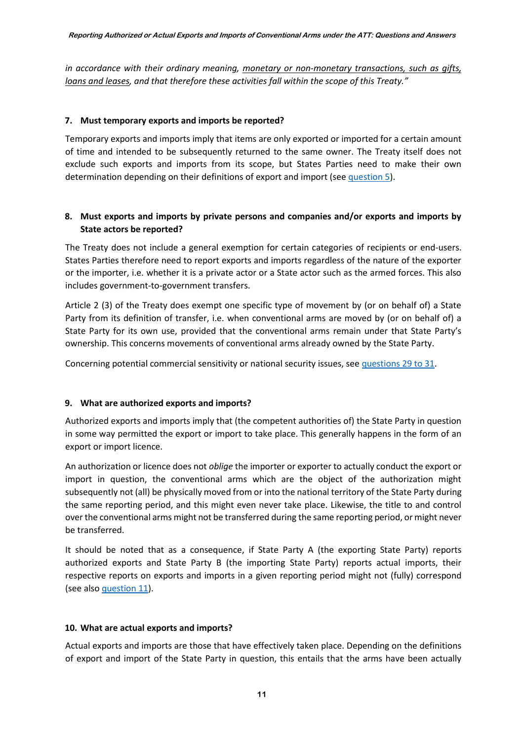*in accordance with their ordinary meaning, monetary or non-monetary transactions, such as gifts, loans and leases, and that therefore these activities fall within the scope of this Treaty."*

#### <span id="page-11-0"></span>**7. Must temporary exports and imports be reported?**

Temporary exports and imports imply that items are only exported or imported for a certain amount of time and intended to be subsequently returned to the same owner. The Treaty itself does not exclude such exports and imports from its scope, but States Parties need to make their own determination depending on their definitions of export and import (se[e question 5\)](#page-10-2).

### <span id="page-11-1"></span>**8. Must exports and imports by private persons and companies and/or exports and imports by State actors be reported?**

The Treaty does not include a general exemption for certain categories of recipients or end-users. States Parties therefore need to report exports and imports regardless of the nature of the exporter or the importer, i.e. whether it is a private actor or a State actor such as the armed forces. This also includes government-to-government transfers.

Article 2 (3) of the Treaty does exempt one specific type of movement by (or on behalf of) a State Party from its definition of transfer, i.e. when conventional arms are moved by (or on behalf of) a State Party for its own use, provided that the conventional arms remain under that State Party's ownership. This concerns movements of conventional arms already owned by the State Party.

Concerning potential commercial sensitivity or national security issues, see [questions 29 to 31.](#page-18-0)

### <span id="page-11-2"></span>**9. What are authorized exports and imports?**

Authorized exports and imports imply that (the competent authorities of) the State Party in question in some way permitted the export or import to take place. This generally happens in the form of an export or import licence.

An authorization or licence does not *oblige* the importer or exporter to actually conduct the export or import in question, the conventional arms which are the object of the authorization might subsequently not (all) be physically moved from or into the national territory of the State Party during the same reporting period, and this might even never take place. Likewise, the title to and control over the conventional arms might not be transferred during the same reporting period, or might never be transferred.

It should be noted that as a consequence, if State Party A (the exporting State Party) reports authorized exports and State Party B (the importing State Party) reports actual imports, their respective reports on exports and imports in a given reporting period might not (fully) correspond (see als[o question 11\)](#page-12-1).

#### <span id="page-11-3"></span>**10. What are actual exports and imports?**

Actual exports and imports are those that have effectively taken place. Depending on the definitions of export and import of the State Party in question, this entails that the arms have been actually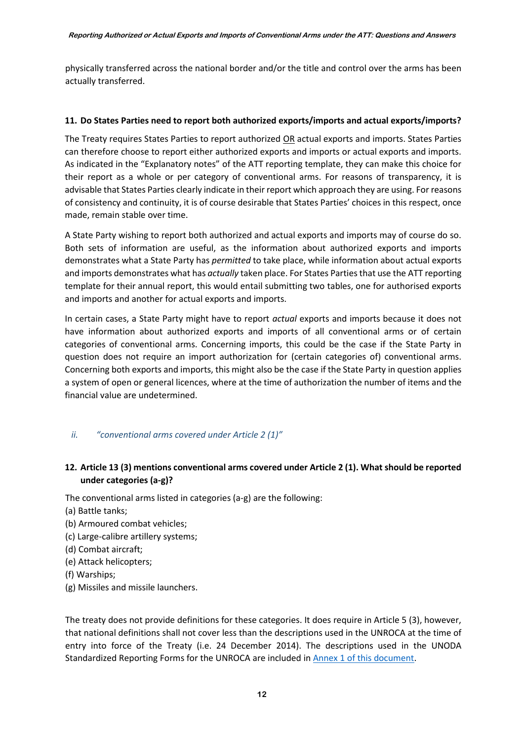physically transferred across the national border and/or the title and control over the arms has been actually transferred.

## <span id="page-12-1"></span>**11. Do States Parties need to report both authorized exports/imports and actual exports/imports?**

The Treaty requires States Parties to report authorized OR actual exports and imports. States Parties can therefore choose to report either authorized exports and imports or actual exports and imports. As indicated in the "Explanatory notes" of the ATT reporting template, they can make this choice for their report as a whole or per category of conventional arms. For reasons of transparency, it is advisable that States Parties clearly indicate in their report which approach they are using. For reasons of consistency and continuity, it is of course desirable that States Parties' choices in this respect, once made, remain stable over time.

A State Party wishing to report both authorized and actual exports and imports may of course do so. Both sets of information are useful, as the information about authorized exports and imports demonstrates what a State Party has *permitted* to take place, while information about actual exports and imports demonstrates what has *actually* taken place. For States Parties that use the ATT reporting template for their annual report, this would entail submitting two tables, one for authorised exports and imports and another for actual exports and imports.

In certain cases, a State Party might have to report *actual* exports and imports because it does not have information about authorized exports and imports of all conventional arms or of certain categories of conventional arms. Concerning imports, this could be the case if the State Party in question does not require an import authorization for (certain categories of) conventional arms. Concerning both exports and imports, this might also be the case if the State Party in question applies a system of open or general licences, where at the time of authorization the number of items and the financial value are undetermined.

## <span id="page-12-0"></span>*ii. "conventional arms covered under Article 2 (1)"*

## <span id="page-12-2"></span>**12. Article 13 (3) mentions conventional arms covered under Article 2 (1). What should be reported under categories (a-g)?**

The conventional arms listed in categories (a-g) are the following:

- (a) Battle tanks;
- (b) Armoured combat vehicles;
- (c) Large-calibre artillery systems;
- (d) Combat aircraft;
- (e) Attack helicopters;
- (f) Warships;
- (g) Missiles and missile launchers.

The treaty does not provide definitions for these categories. It does require in Article 5 (3), however, that national definitions shall not cover less than the descriptions used in the UNROCA at the time of entry into force of the Treaty (i.e. 24 December 2014). The descriptions used in the UNODA Standardized Reporting Forms for the UNROCA are included i[n Annex 1 of this document.](#page-24-0)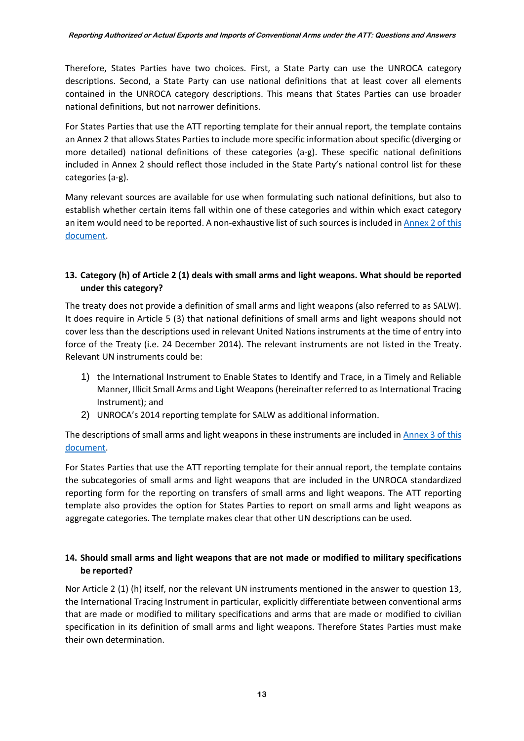Therefore, States Parties have two choices. First, a State Party can use the UNROCA category descriptions. Second, a State Party can use national definitions that at least cover all elements contained in the UNROCA category descriptions. This means that States Parties can use broader national definitions, but not narrower definitions.

For States Parties that use the ATT reporting template for their annual report, the template contains an Annex 2 that allows States Parties to include more specific information about specific (diverging or more detailed) national definitions of these categories (a-g). These specific national definitions included in Annex 2 should reflect those included in the State Party's national control list for these categories (a-g).

Many relevant sources are available for use when formulating such national definitions, but also to establish whether certain items fall within one of these categories and within which exact category an item would need to be reported. A non-exhaustive list of such sources is included in [Annex 2 of this](#page-26-0)  [document.](#page-26-0)

## <span id="page-13-0"></span>**13. Category (h) of Article 2 (1) deals with small arms and light weapons. What should be reported under this category?**

The treaty does not provide a definition of small arms and light weapons (also referred to as SALW). It does require in Article 5 (3) that national definitions of small arms and light weapons should not cover less than the descriptions used in relevant United Nations instruments at the time of entry into force of the Treaty (i.e. 24 December 2014). The relevant instruments are not listed in the Treaty. Relevant UN instruments could be:

- 1) the International Instrument to Enable States to Identify and Trace, in a Timely and Reliable Manner, Illicit Small Arms and Light Weapons (hereinafter referred to as International Tracing Instrument); and
- 2) UNROCA's 2014 reporting template for SALW as additional information.

The descriptions of small arms and light weapons in these instruments are included in [Annex 3 of this](#page-27-1)  [document.](#page-27-1)

For States Parties that use the ATT reporting template for their annual report, the template contains the subcategories of small arms and light weapons that are included in the UNROCA standardized reporting form for the reporting on transfers of small arms and light weapons. The ATT reporting template also provides the option for States Parties to report on small arms and light weapons as aggregate categories. The template makes clear that other UN descriptions can be used.

## <span id="page-13-1"></span>**14. Should small arms and light weapons that are not made or modified to military specifications be reported?**

Nor Article 2 (1) (h) itself, nor the relevant UN instruments mentioned in the answer to question 13, the International Tracing Instrument in particular, explicitly differentiate between conventional arms that are made or modified to military specifications and arms that are made or modified to civilian specification in its definition of small arms and light weapons. Therefore States Parties must make their own determination.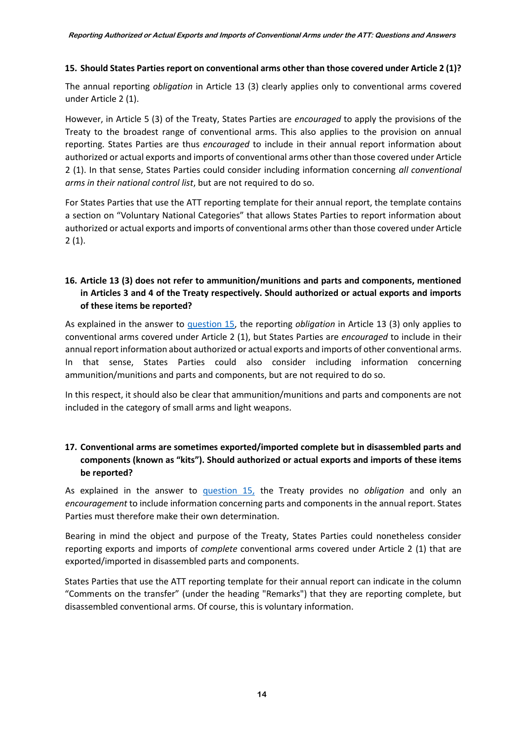## <span id="page-14-0"></span>**15. Should States Parties report on conventional arms other than those covered under Article 2 (1)?**

The annual reporting *obligation* in Article 13 (3) clearly applies only to conventional arms covered under Article 2 (1).

However, in Article 5 (3) of the Treaty, States Parties are *encouraged* to apply the provisions of the Treaty to the broadest range of conventional arms. This also applies to the provision on annual reporting. States Parties are thus *encouraged* to include in their annual report information about authorized or actual exports and imports of conventional arms other than those covered under Article 2 (1). In that sense, States Parties could consider including information concerning *all conventional arms in their national control list*, but are not required to do so.

For States Parties that use the ATT reporting template for their annual report, the template contains a section on "Voluntary National Categories" that allows States Parties to report information about authorized or actual exports and imports of conventional arms other than those covered under Article  $2(1).$ 

## <span id="page-14-1"></span>**16. Article 13 (3) does not refer to ammunition/munitions and parts and components, mentioned in Articles 3 and 4 of the Treaty respectively. Should authorized or actual exports and imports of these items be reported?**

As explained in the answer to [question 15,](#page-14-0) the reporting *obligation* in Article 13 (3) only applies to conventional arms covered under Article 2 (1), but States Parties are *encouraged* to include in their annual report information about authorized or actual exports and imports of other conventional arms. In that sense, States Parties could also consider including information concerning ammunition/munitions and parts and components, but are not required to do so.

In this respect, it should also be clear that ammunition/munitions and parts and components are not included in the category of small arms and light weapons.

## <span id="page-14-2"></span>**17. Conventional arms are sometimes exported/imported complete but in disassembled parts and components (known as "kits"). Should authorized or actual exports and imports of these items be reported?**

As explained in the answer to [question 15,](#page-14-0) the Treaty provides no *obligation* and only an *encouragement* to include information concerning parts and components in the annual report. States Parties must therefore make their own determination.

Bearing in mind the object and purpose of the Treaty, States Parties could nonetheless consider reporting exports and imports of *complete* conventional arms covered under Article 2 (1) that are exported/imported in disassembled parts and components.

States Parties that use the ATT reporting template for their annual report can indicate in the column "Comments on the transfer" (under the heading "Remarks") that they are reporting complete, but disassembled conventional arms. Of course, this is voluntary information.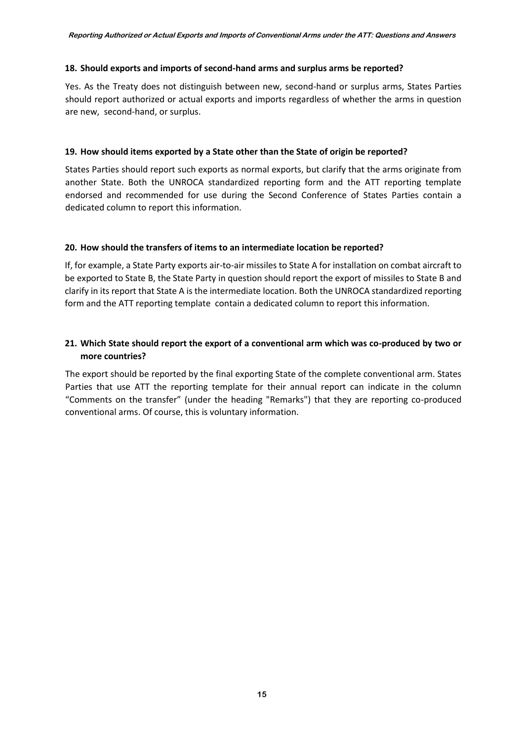#### <span id="page-15-1"></span>**18. Should exports and imports of second-hand arms and surplus arms be reported?**

Yes. As the Treaty does not distinguish between new, second-hand or surplus arms, States Parties should report authorized or actual exports and imports regardless of whether the arms in question are new, second-hand, or surplus.

#### <span id="page-15-2"></span>**19. How should items exported by a State other than the State of origin be reported?**

States Parties should report such exports as normal exports, but clarify that the arms originate from another State. Both the UNROCA standardized reporting form and the ATT reporting template endorsed and recommended for use during the Second Conference of States Parties contain a dedicated column to report this information.

### <span id="page-15-3"></span>**20. How should the transfers of items to an intermediate location be reported?**

If, for example, a State Party exports air-to-air missiles to State A for installation on combat aircraft to be exported to State B, the State Party in question should report the export of missiles to State B and clarify in its report that State A is the intermediate location. Both the UNROCA standardized reporting form and the ATT reporting template contain a dedicated column to report this information.

## <span id="page-15-4"></span>**21. Which State should report the export of a conventional arm which was co-produced by two or more countries?**

<span id="page-15-0"></span>The export should be reported by the final exporting State of the complete conventional arm. States Parties that use ATT the reporting template for their annual report can indicate in the column "Comments on the transfer" (under the heading "Remarks") that they are reporting co-produced conventional arms. Of course, this is voluntary information.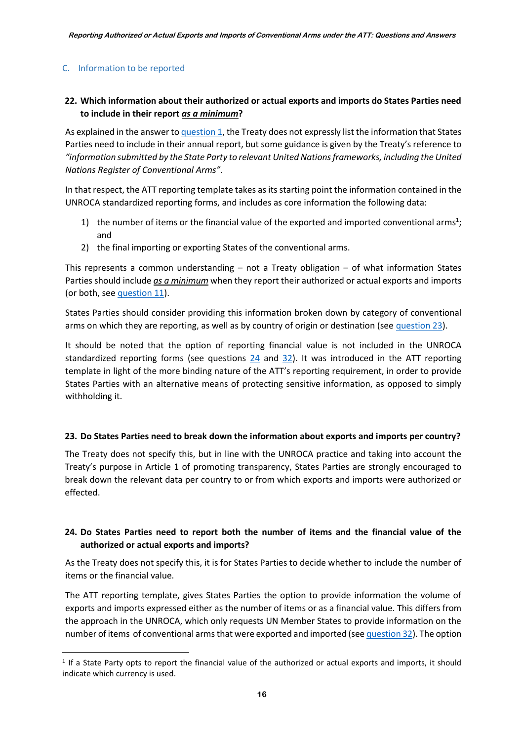## C. Information to be reported

**.** 

## <span id="page-16-0"></span>**22. Which information about their authorized or actual exports and imports do States Parties need to include in their report** *as a minimum***?**

As explained in the answer to [question 1,](#page-7-1) the Treaty does not expressly list the information that States Parties need to include in their annual report, but some guidance is given by the Treaty's reference to *"information submitted by the State Party to relevant United Nations frameworks, including the United Nations Register of Conventional Arms"*.

In that respect, the ATT reporting template takes as its starting point the information contained in the UNROCA standardized reporting forms, and includes as core information the following data:

- 1) the number of items or the financial value of the exported and imported conventional arms<sup>1</sup>; and
- 2) the final importing or exporting States of the conventional arms.

This represents a common understanding  $-$  not a Treaty obligation  $-$  of what information States Parties should include *as a minimum* when they report their authorized or actual exports and imports (or both, se[e question 11\)](#page-12-1).

States Parties should consider providing this information broken down by category of conventional arms on which they are reporting, as well as by country of origin or destination (see [question 23\)](#page-16-1).

It should be noted that the option of reporting financial value is not included in the UNROCA standardized reporting forms (see questions [24](#page-16-2) and [32\)](#page-18-3). It was introduced in the ATT reporting template in light of the more binding nature of the ATT's reporting requirement, in order to provide States Parties with an alternative means of protecting sensitive information, as opposed to simply withholding it.

#### <span id="page-16-1"></span>**23. Do States Parties need to break down the information about exports and imports per country?**

The Treaty does not specify this, but in line with the UNROCA practice and taking into account the Treaty's purpose in Article 1 of promoting transparency, States Parties are strongly encouraged to break down the relevant data per country to or from which exports and imports were authorized or effected.

## <span id="page-16-2"></span>**24. Do States Parties need to report both the number of items and the financial value of the authorized or actual exports and imports?**

As the Treaty does not specify this, it is for States Parties to decide whether to include the number of items or the financial value.

The ATT reporting template, gives States Parties the option to provide information the volume of exports and imports expressed either as the number of items or as a financial value. This differs from the approach in the UNROCA, which only requests UN Member States to provide information on the number of items of conventional arms that were exported and imported (se[e question 32\)](#page-18-3). The option

<sup>1</sup> If a State Party opts to report the financial value of the authorized or actual exports and imports, it should indicate which currency is used.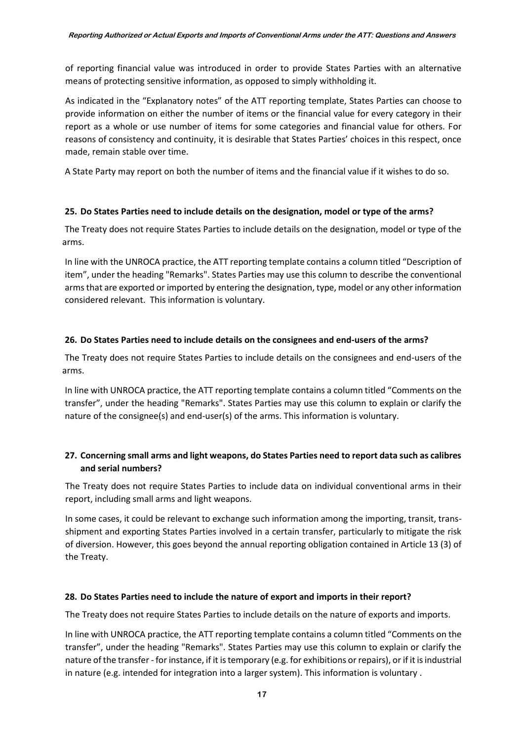of reporting financial value was introduced in order to provide States Parties with an alternative means of protecting sensitive information, as opposed to simply withholding it.

As indicated in the "Explanatory notes" of the ATT reporting template, States Parties can choose to provide information on either the number of items or the financial value for every category in their report as a whole or use number of items for some categories and financial value for others. For reasons of consistency and continuity, it is desirable that States Parties' choices in this respect, once made, remain stable over time.

A State Party may report on both the number of items and the financial value if it wishes to do so.

## <span id="page-17-0"></span>**25. Do States Parties need to include details on the designation, model or type of the arms?**

The Treaty does not require States Parties to include details on the designation, model or type of the arms.

In line with the UNROCA practice, the ATT reporting template contains a column titled "Description of item", under the heading "Remarks". States Parties may use this column to describe the conventional arms that are exported or imported by entering the designation, type, model or any other information considered relevant. This information is voluntary.

## <span id="page-17-1"></span>**26. Do States Parties need to include details on the consignees and end-users of the arms?**

The Treaty does not require States Parties to include details on the consignees and end-users of the arms.

In line with UNROCA practice, the ATT reporting template contains a column titled "Comments on the transfer", under the heading "Remarks". States Parties may use this column to explain or clarify the nature of the consignee(s) and end-user(s) of the arms. This information is voluntary.

## <span id="page-17-2"></span>**27. Concerning small arms and light weapons, do States Parties need to report data such as calibres and serial numbers?**

The Treaty does not require States Parties to include data on individual conventional arms in their report, including small arms and light weapons.

In some cases, it could be relevant to exchange such information among the importing, transit, transshipment and exporting States Parties involved in a certain transfer, particularly to mitigate the risk of diversion. However, this goes beyond the annual reporting obligation contained in Article 13 (3) of the Treaty.

## <span id="page-17-3"></span>**28. Do States Parties need to include the nature of export and imports in their report?**

The Treaty does not require States Parties to include details on the nature of exports and imports.

In line with UNROCA practice, the ATT reporting template contains a column titled "Comments on the transfer", under the heading "Remarks". States Parties may use this column to explain or clarify the nature of the transfer - for instance, if it is temporary (e.g. for exhibitions or repairs), or if it is industrial in nature (e.g. intended for integration into a larger system). This information is voluntary .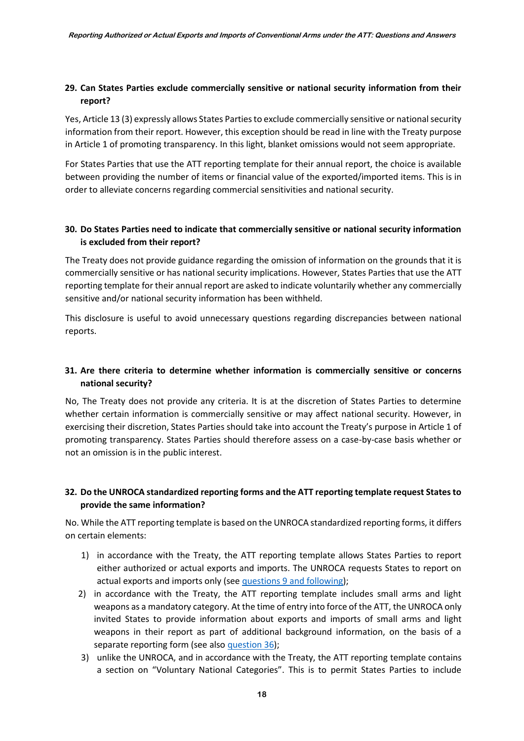## <span id="page-18-0"></span>**29. Can States Parties exclude commercially sensitive or national security information from their report?**

Yes, Article 13 (3) expressly allows States Parties to exclude commercially sensitive or national security information from their report. However, this exception should be read in line with the Treaty purpose in Article 1 of promoting transparency. In this light, blanket omissions would not seem appropriate.

For States Parties that use the ATT reporting template for their annual report, the choice is available between providing the number of items or financial value of the exported/imported items. This is in order to alleviate concerns regarding commercial sensitivities and national security.

## <span id="page-18-1"></span>**30. Do States Parties need to indicate that commercially sensitive or national security information is excluded from their report?**

The Treaty does not provide guidance regarding the omission of information on the grounds that it is commercially sensitive or has national security implications. However, States Parties that use the ATT reporting template for their annual report are asked to indicate voluntarily whether any commercially sensitive and/or national security information has been withheld.

This disclosure is useful to avoid unnecessary questions regarding discrepancies between national reports.

## <span id="page-18-2"></span>**31. Are there criteria to determine whether information is commercially sensitive or concerns national security?**

No, The Treaty does not provide any criteria. It is at the discretion of States Parties to determine whether certain information is commercially sensitive or may affect national security. However, in exercising their discretion, States Parties should take into account the Treaty's purpose in Article 1 of promoting transparency. States Parties should therefore assess on a case-by-case basis whether or not an omission is in the public interest.

## <span id="page-18-3"></span>**32. Do the UNROCA standardized reporting forms and the ATT reporting template request States to provide the same information?**

No. While the ATT reporting template is based on the UNROCA standardized reporting forms, it differs on certain elements:

- 1) in accordance with the Treaty, the ATT reporting template allows States Parties to report either authorized or actual exports and imports. The UNROCA requests States to report on actual exports and imports only (see [questions 9 and following\)](#page-11-2);
- 2) in accordance with the Treaty, the ATT reporting template includes small arms and light weapons as a mandatory category. At the time of entry into force of the ATT, the UNROCA only invited States to provide information about exports and imports of small arms and light weapons in their report as part of additional background information, on the basis of a separate reporting form (see also [question 36\)](#page-20-2);
- 3) unlike the UNROCA, and in accordance with the Treaty, the ATT reporting template contains a section on "Voluntary National Categories". This is to permit States Parties to include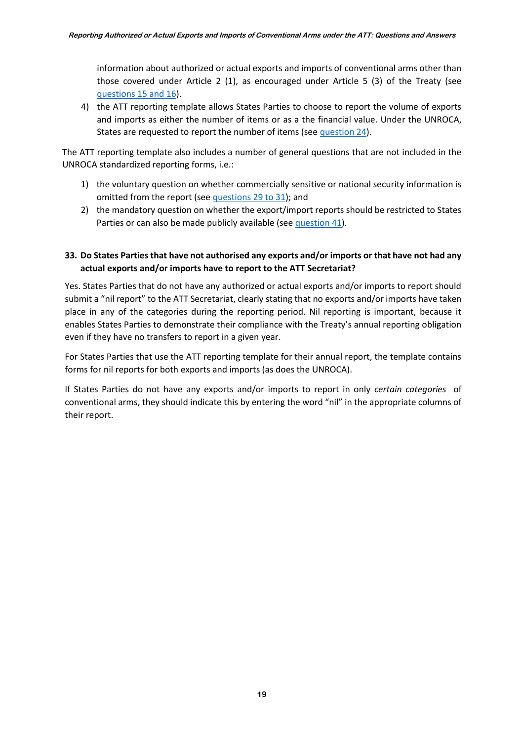information about authorized or actual exports and imports of conventional arms other than those covered under Article 2 (1), as encouraged under Article 5 (3) of the Treaty (see [questions 15 and 16\)](#page-14-0).

4) the ATT reporting template allows States Parties to choose to report the volume of exports and imports as either the number of items or as a the financial value. Under the UNROCA, States are requested to report the number of items (see [question 24\)](#page-16-2).

The ATT reporting template also includes a number of general questions that are not included in the UNROCA standardized reporting forms, i.e.:

- 1) the voluntary question on whether commercially sensitive or national security information is omitted from the report (se[e questions 29 to 31\)](#page-18-0); and
- 2) the mandatory question on whether the export/import reports should be restricted to States Parties or can also be made publicly available (se[e question 41\)](#page-22-1).

## <span id="page-19-1"></span>**33. Do States Parties that have not authorised any exports and/or imports or that have not had any actual exports and/or imports have to report to the ATT Secretariat?**

Yes. States Parties that do not have any authorized or actual exports and/or imports to report should submit a "nil report" to the ATT Secretariat, clearly stating that no exports and/or imports have taken place in any of the categories during the reporting period. Nil reporting is important, because it enables States Parties to demonstrate their compliance with the Treaty's annual reporting obligation even if they have no transfers to report in a given year.

For States Parties that use the ATT reporting template for their annual report, the template contains forms for nil reports for both exports and imports (as does the UNROCA).

<span id="page-19-0"></span>If States Parties do not have any exports and/or imports to report in only *certain categories* of conventional arms, they should indicate this by entering the word "nil" in the appropriate columns of their report.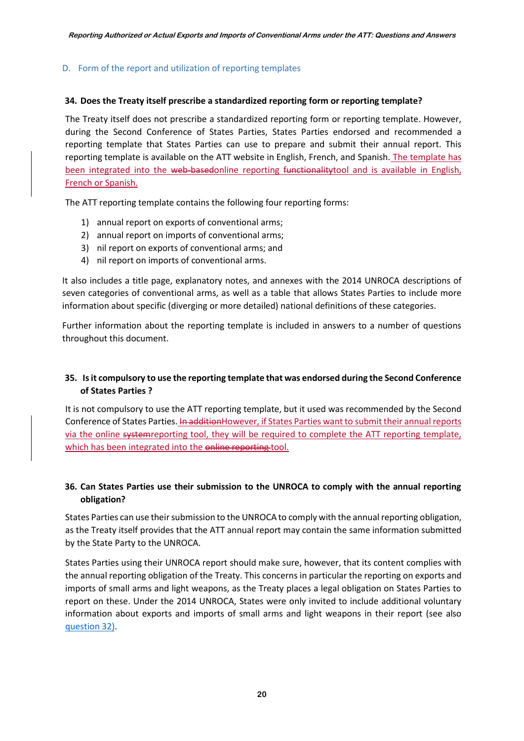### D. Form of the report and utilization of reporting templates

#### <span id="page-20-0"></span>**34. Does the Treaty itself prescribe a standardized reporting form or reporting template?**

The Treaty itself does not prescribe a standardized reporting form or reporting template. However, during the Second Conference of States Parties, States Parties endorsed and recommended a reporting template that States Parties can use to prepare and submit their annual report. This reporting template is available on the ATT website in English, French, and Spanish. The template has been integrated into the web-basedonline reporting functionality tool and is available in English, French or Spanish.

The ATT reporting template contains the following four reporting forms:

- 1) annual report on exports of conventional arms;
- 2) annual report on imports of conventional arms;
- 3) nil report on exports of conventional arms; and
- 4) nil report on imports of conventional arms.

It also includes a title page, explanatory notes, and annexes with the 2014 UNROCA descriptions of seven categories of conventional arms, as well as a table that allows States Parties to include more information about specific (diverging or more detailed) national definitions of these categories.

Further information about the reporting template is included in answers to a number of questions throughout this document.

### <span id="page-20-1"></span>**35. Is it compulsory to use the reporting template that was endorsed during the Second Conference of States Parties ?**

It is not compulsory to use the ATT reporting template, but it used was recommended by the Second Conference of States Parties. In addition However, if States Parties want to submit their annual reports via the online systemreporting tool, they will be required to complete the ATT reporting template, which has been integrated into the online reporting tool.

## <span id="page-20-2"></span>**36. Can States Parties use their submission to the UNROCA to comply with the annual reporting obligation?**

States Parties can use their submission to the UNROCA to comply with the annual reporting obligation, as the Treaty itself provides that the ATT annual report may contain the same information submitted by the State Party to the UNROCA.

States Parties using their UNROCA report should make sure, however, that its content complies with the annual reporting obligation of the Treaty. This concerns in particular the reporting on exports and imports of small arms and light weapons, as the Treaty places a legal obligation on States Parties to report on these. Under the 2014 UNROCA, States were only invited to include additional voluntary information about exports and imports of small arms and light weapons in their report (see also [question 32\)](#page-18-3).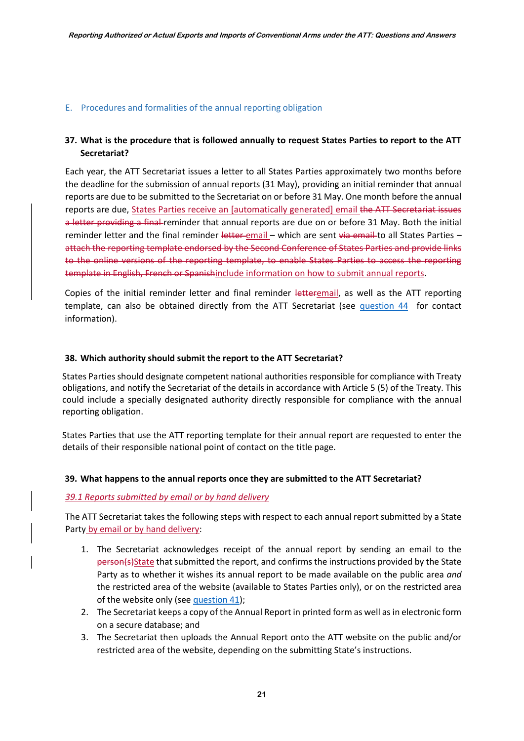#### <span id="page-21-0"></span>E. Procedures and formalities of the annual reporting obligation

### <span id="page-21-1"></span>**37. What is the procedure that is followed annually to request States Parties to report to the ATT Secretariat?**

Each year, the ATT Secretariat issues a letter to all States Parties approximately two months before the deadline for the submission of annual reports (31 May), providing an initial reminder that annual reports are due to be submitted to the Secretariat on or before 31 May. One month before the annual reports are due, States Parties receive an [automatically generated] email the ATT Secretariat issues a letter providing a final reminder that annual reports are due on or before 31 May. Both the initial reminder letter and the final reminder letter email - which are sent via email to all States Parties attach the reporting template endorsed by the Second Conference of States Parties and provide links to the online versions of the reporting template, to enable States Parties to access the reporting template in English, French or Spanishinclude information on how to submit annual reports.

Copies of the initial reminder letter and final reminder letteremail, as well as the ATT reporting template, can also be obtained directly from the ATT Secretariat (see [question 44](#page-23-2) for contact information).

#### <span id="page-21-2"></span>**38. Which authority should submit the report to the ATT Secretariat?**

States Parties should designate competent national authorities responsible for compliance with Treaty obligations, and notify the Secretariat of the details in accordance with Article 5 (5) of the Treaty. This could include a specially designated authority directly responsible for compliance with the annual reporting obligation.

States Parties that use the ATT reporting template for their annual report are requested to enter the details of their responsible national point of contact on the title page.

#### <span id="page-21-3"></span>**39. What happens to the annual reports once they are submitted to the ATT Secretariat?**

#### *39.1 Reports submitted by email or by hand delivery*

The ATT Secretariat takes the following steps with respect to each annual report submitted by a State Party by email or by hand delivery:

- 1. The Secretariat acknowledges receipt of the annual report by sending an email to the person(s)State that submitted the report, and confirms the instructions provided by the State Party as to whether it wishes its annual report to be made available on the public area *and* the restricted area of the website (available to States Parties only), or on the restricted area of the website only (se[e question 41\)](#page-22-1);
- 2. The Secretariat keeps a copy of the Annual Report in printed form as well as in electronic form on a secure database; and
- 3. The Secretariat then uploads the Annual Report onto the ATT website on the public and/or restricted area of the website, depending on the submitting State's instructions.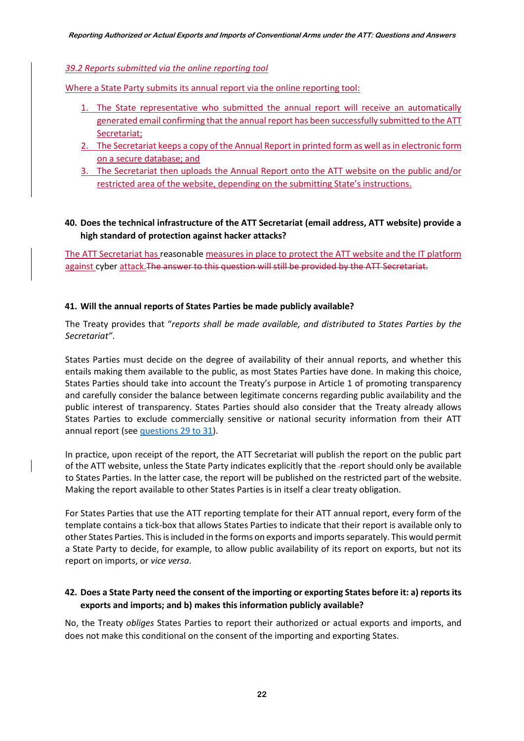#### *39.2 Reports submitted via the online reporting tool*

Where a State Party submits its annual report via the online reporting tool:

- 1. The State representative who submitted the annual report will receive an automatically generated email confirming that the annual report has been successfully submitted to the ATT Secretariat;
- 2. The Secretariat keeps a copy of the Annual Report in printed form as well as in electronic form on a secure database; and
- 3. The Secretariat then uploads the Annual Report onto the ATT website on the public and/or restricted area of the website, depending on the submitting State's instructions.

## <span id="page-22-0"></span>**40. Does the technical infrastructure of the ATT Secretariat (email address, ATT website) provide a high standard of protection against hacker attacks?**

The ATT Secretariat has reasonable measures in place to protect the ATT website and the IT platform against cyber attack. The answer to this question will still be provided by the ATT Secretariat.

#### <span id="page-22-1"></span>**41. Will the annual reports of States Parties be made publicly available?**

The Treaty provides that "*reports shall be made available, and distributed to States Parties by the Secretariat"*.

States Parties must decide on the degree of availability of their annual reports, and whether this entails making them available to the public, as most States Parties have done. In making this choice, States Parties should take into account the Treaty's purpose in Article 1 of promoting transparency and carefully consider the balance between legitimate concerns regarding public availability and the public interest of transparency. States Parties should also consider that the Treaty already allows States Parties to exclude commercially sensitive or national security information from their ATT annual report (see [questions 29 to 31\)](#page-18-0).

In practice, upon receipt of the report, the ATT Secretariat will publish the report on the public part of the ATT website, unless the State Party indicates explicitly that the report should only be available to States Parties. In the latter case, the report will be published on the restricted part of the website. Making the report available to other States Parties is in itself a clear treaty obligation.

For States Parties that use the ATT reporting template for their ATT annual report, every form of the template contains a tick-box that allows States Parties to indicate that their report is available only to other States Parties. This is included in the forms on exports and imports separately. This would permit a State Party to decide, for example, to allow public availability of its report on exports, but not its report on imports, or *vice versa*.

## <span id="page-22-2"></span>**42. Does a State Party need the consent of the importing or exporting States before it: a) reports its exports and imports; and b) makes this information publicly available?**

No, the Treaty *obliges* States Parties to report their authorized or actual exports and imports, and does not make this conditional on the consent of the importing and exporting States.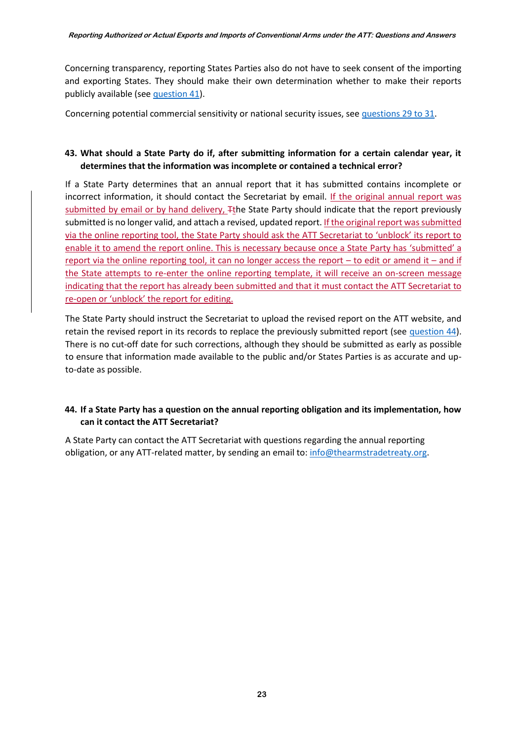Concerning transparency, reporting States Parties also do not have to seek consent of the importing and exporting States. They should make their own determination whether to make their reports publicly available (see [question 41\)](#page-22-1).

Concerning potential commercial sensitivity or national security issues, see [questions 29 to 31.](#page-18-0)

### <span id="page-23-1"></span>**43. What should a State Party do if, after submitting information for a certain calendar year, it determines that the information was incomplete or contained a technical error?**

If a State Party determines that an annual report that it has submitted contains incomplete or incorrect information, it should contact the Secretariat by email. If the original annual report was submitted by email or by hand delivery,  $\pm$ the State Party should indicate that the report previously submitted is no longer valid, and attach a revised, updated report. If the original report was submitted via the online reporting tool, the State Party should ask the ATT Secretariat to 'unblock' its report to enable it to amend the report online. This is necessary because once a State Party has 'submitted' a report via the online reporting tool, it can no longer access the report  $-$  to edit or amend it  $-$  and if the State attempts to re-enter the online reporting template, it will receive an on-screen message indicating that the report has already been submitted and that it must contact the ATT Secretariat to re-open or 'unblock' the report for editing.

The State Party should instruct the Secretariat to upload the revised report on the ATT website, and retain the revised report in its records to replace the previously submitted report (see [question 44\)](#page-23-2). There is no cut-off date for such corrections, although they should be submitted as early as possible to ensure that information made available to the public and/or States Parties is as accurate and upto-date as possible.

## <span id="page-23-2"></span>**44. If a State Party has a question on the annual reporting obligation and its implementation, how can it contact the ATT Secretariat?**

<span id="page-23-0"></span>A State Party can contact the ATT Secretariat with questions regarding the annual reporting obligation, or any ATT-related matter, by sending an email to: [info@thearmstradetreaty.org.](mailto:info@thearmstradetreaty.org)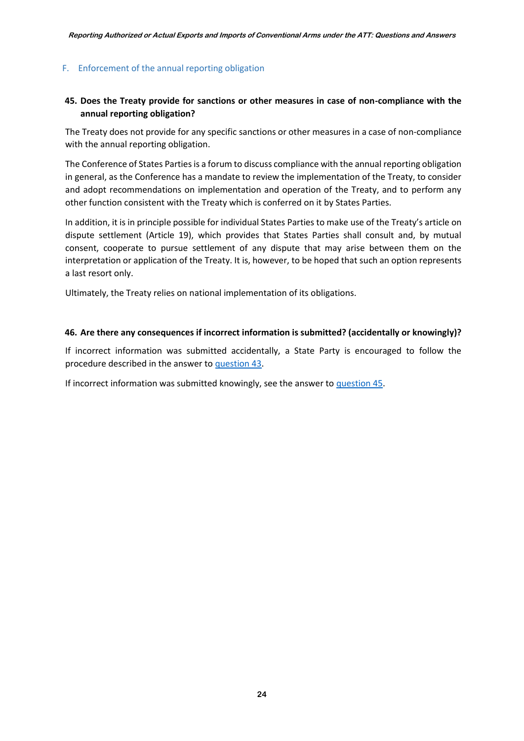### F. Enforcement of the annual reporting obligation

### <span id="page-24-1"></span>**45. Does the Treaty provide for sanctions or other measures in case of non-compliance with the annual reporting obligation?**

The Treaty does not provide for any specific sanctions or other measures in a case of non-compliance with the annual reporting obligation.

The Conference of States Parties is a forum to discuss compliance with the annual reporting obligation in general, as the Conference has a mandate to review the implementation of the Treaty, to consider and adopt recommendations on implementation and operation of the Treaty, and to perform any other function consistent with the Treaty which is conferred on it by States Parties.

In addition, it is in principle possible for individual States Parties to make use of the Treaty's article on dispute settlement (Article 19), which provides that States Parties shall consult and, by mutual consent, cooperate to pursue settlement of any dispute that may arise between them on the interpretation or application of the Treaty. It is, however, to be hoped that such an option represents a last resort only.

Ultimately, the Treaty relies on national implementation of its obligations.

#### <span id="page-24-2"></span>**46. Are there any consequences if incorrect information is submitted? (accidentally or knowingly)?**

If incorrect information was submitted accidentally, a State Party is encouraged to follow the procedure described in the answer to [question 43.](#page-23-1)

<span id="page-24-0"></span>If incorrect information was submitted knowingly, see the answer to [question 45.](#page-24-1)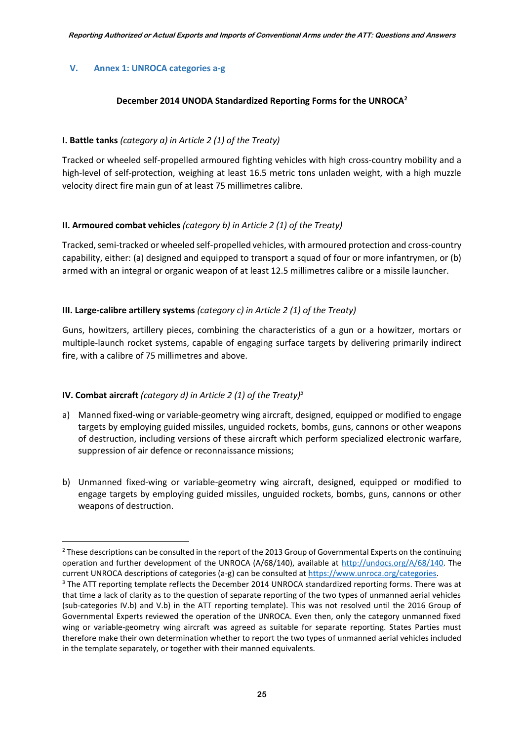### **V. Annex 1: UNROCA categories a-g**

#### **December 2014 UNODA Standardized Reporting Forms for the UNROCA<sup>2</sup>**

### **I. Battle tanks** *(category a) in Article 2 (1) of the Treaty)*

Tracked or wheeled self-propelled armoured fighting vehicles with high cross-country mobility and a high-level of self-protection, weighing at least 16.5 metric tons unladen weight, with a high muzzle velocity direct fire main gun of at least 75 millimetres calibre.

### **II. Armoured combat vehicles** *(category b) in Article 2 (1) of the Treaty)*

Tracked, semi-tracked or wheeled self-propelled vehicles, with armoured protection and cross-country capability, either: (a) designed and equipped to transport a squad of four or more infantrymen, or (b) armed with an integral or organic weapon of at least 12.5 millimetres calibre or a missile launcher.

### **III. Large-calibre artillery systems** *(category c) in Article 2 (1) of the Treaty)*

Guns, howitzers, artillery pieces, combining the characteristics of a gun or a howitzer, mortars or multiple-launch rocket systems, capable of engaging surface targets by delivering primarily indirect fire, with a calibre of 75 millimetres and above.

### **IV. Combat aircraft** *(category d) in Article 2 (1) of the Treaty)<sup>3</sup>*

**.** 

- a) Manned fixed-wing or variable-geometry wing aircraft, designed, equipped or modified to engage targets by employing guided missiles, unguided rockets, bombs, guns, cannons or other weapons of destruction, including versions of these aircraft which perform specialized electronic warfare, suppression of air defence or reconnaissance missions;
- b) Unmanned fixed-wing or variable-geometry wing aircraft, designed, equipped or modified to engage targets by employing guided missiles, unguided rockets, bombs, guns, cannons or other weapons of destruction.

<sup>&</sup>lt;sup>2</sup> These descriptions can be consulted in the report of the 2013 Group of Governmental Experts on the continuing operation and further development of the UNROCA (A/68/140), available at [http://undocs.org/A/68/140.](http://undocs.org/A/68/140) The current UNROCA descriptions of categories (a-g) can be consulted a[t https://www.unroca.org/categories.](https://www.unroca.org/categories)

<sup>&</sup>lt;sup>3</sup> The ATT reporting template reflects the December 2014 UNROCA standardized reporting forms. There was at that time a lack of clarity as to the question of separate reporting of the two types of unmanned aerial vehicles (sub-categories IV.b) and V.b) in the ATT reporting template). This was not resolved until the 2016 Group of Governmental Experts reviewed the operation of the UNROCA. Even then, only the category unmanned fixed wing or variable-geometry wing aircraft was agreed as suitable for separate reporting. States Parties must therefore make their own determination whether to report the two types of unmanned aerial vehicles included in the template separately, or together with their manned equivalents.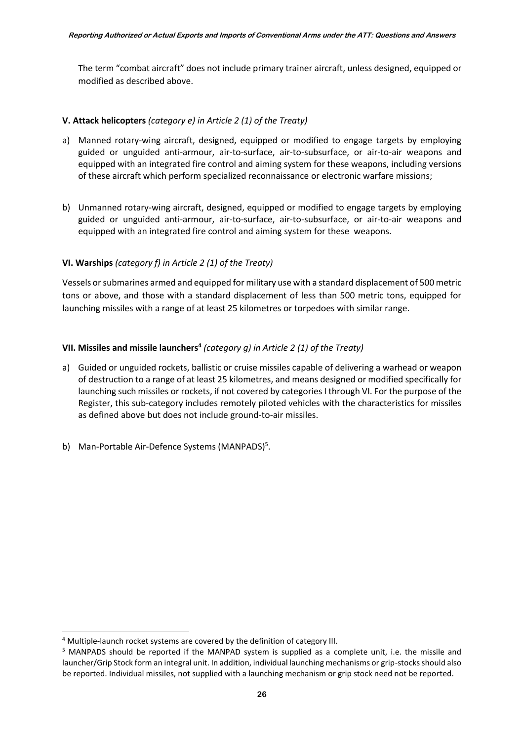The term "combat aircraft" does not include primary trainer aircraft, unless designed, equipped or modified as described above.

## **V. Attack helicopters** *(category e) in Article 2 (1) of the Treaty)*

- a) Manned rotary-wing aircraft, designed, equipped or modified to engage targets by employing guided or unguided anti-armour, air-to-surface, air-to-subsurface, or air-to-air weapons and equipped with an integrated fire control and aiming system for these weapons, including versions of these aircraft which perform specialized reconnaissance or electronic warfare missions;
- b) Unmanned rotary-wing aircraft, designed, equipped or modified to engage targets by employing guided or unguided anti-armour, air-to-surface, air-to-subsurface, or air-to-air weapons and equipped with an integrated fire control and aiming system for these weapons.

## **VI. Warships** *(category f) in Article 2 (1) of the Treaty)*

Vessels or submarines armed and equipped for military use with a standard displacement of 500 metric tons or above, and those with a standard displacement of less than 500 metric tons, equipped for launching missiles with a range of at least 25 kilometres or torpedoes with similar range.

## **VII. Missiles and missile launchers<sup>4</sup>** *(category g) in Article 2 (1) of the Treaty)*

- a) Guided or unguided rockets, ballistic or cruise missiles capable of delivering a warhead or weapon of destruction to a range of at least 25 kilometres, and means designed or modified specifically for launching such missiles or rockets, if not covered by categories I through VI. For the purpose of the Register, this sub-category includes remotely piloted vehicles with the characteristics for missiles as defined above but does not include ground-to-air missiles.
- <span id="page-26-0"></span>b) Man-Portable Air-Defence Systems (MANPADS)<sup>5</sup>.

**.** 

<sup>4</sup> Multiple-launch rocket systems are covered by the definition of category III.

<sup>5</sup> MANPADS should be reported if the MANPAD system is supplied as a complete unit, i.e. the missile and launcher/Grip Stock form an integral unit. In addition, individual launching mechanisms or grip-stocks should also be reported. Individual missiles, not supplied with a launching mechanism or grip stock need not be reported.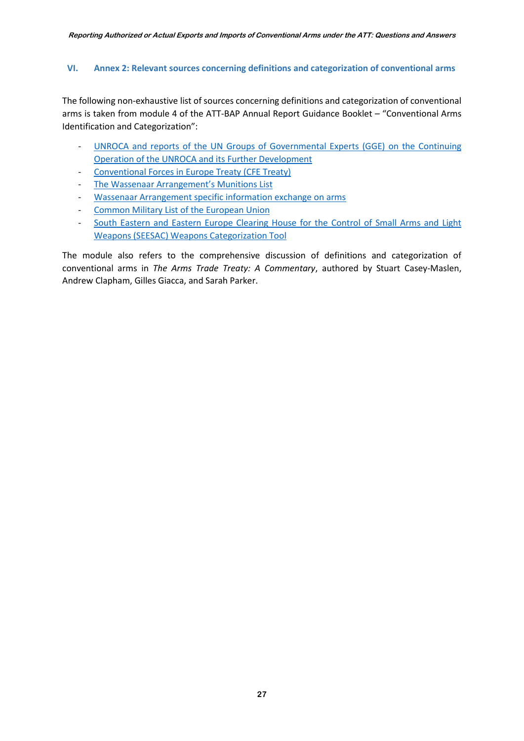### <span id="page-27-0"></span>**VI. Annex 2: Relevant sources concerning definitions and categorization of conventional arms**

The following non-exhaustive list of sources concerning definitions and categorization of conventional arms is taken from module 4 of the ATT-BAP Annual Report Guidance Booklet – "Conventional Arms Identification and Categorization":

- UNROCA and reports of the UN Groups of Governmental Experts (GGE) on the Continuing [Operation of the UNROCA and its Further Development](https://www.unroca.org/)
- [Conventional Forces in Europe Treaty \(CFE Treaty\)](http://www.osce.org/library/14087)
- [The Wassenaar Arrangement's Munitions List](http://www.wassenaar.org/control-lists/)
- [Wassenaar Arrangement specific information exchange on arms](http://www.wassenaar.org/wp-content/uploads/2016/07/Basic_Documents_2016_January.pdf)
- [Common Military List of the European Union](https://eeas.europa.eu/headquarters/headquarters-homepage/427/disarmament-non-proliferation-and-arms-export-control_en)
- South Eastern and Eastern Europe Clearing House for the Control of Small Arms and Light [Weapons \(SEESAC\) Weapons Categorization Tool](http://www.seesac.org/Software-Tools/)

<span id="page-27-1"></span>The module also refers to the comprehensive discussion of definitions and categorization of conventional arms in *The Arms Trade Treaty: A Commentary*, authored by Stuart Casey-Maslen, Andrew Clapham, Gilles Giacca, and Sarah Parker.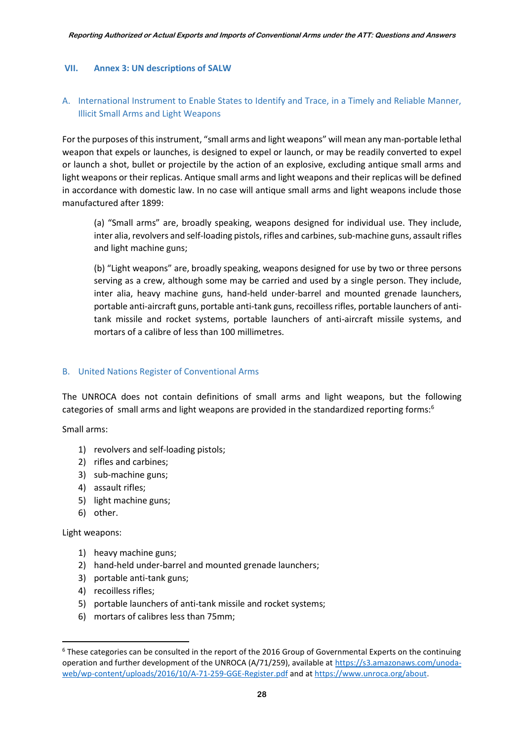#### **VII. Annex 3: UN descriptions of SALW**

## <span id="page-28-0"></span>A. International Instrument to Enable States to Identify and Trace, in a Timely and Reliable Manner, Illicit Small Arms and Light Weapons

For the purposes of this instrument, "small arms and light weapons" will mean any man-portable lethal weapon that expels or launches, is designed to expel or launch, or may be readily converted to expel or launch a shot, bullet or projectile by the action of an explosive, excluding antique small arms and light weapons or their replicas. Antique small arms and light weapons and their replicas will be defined in accordance with domestic law. In no case will antique small arms and light weapons include those manufactured after 1899:

(a) "Small arms" are, broadly speaking, weapons designed for individual use. They include, inter alia, revolvers and self-loading pistols, rifles and carbines, sub-machine guns, assault rifles and light machine guns;

(b) "Light weapons" are, broadly speaking, weapons designed for use by two or three persons serving as a crew, although some may be carried and used by a single person. They include, inter alia, heavy machine guns, hand-held under-barrel and mounted grenade launchers, portable anti-aircraft guns, portable anti-tank guns, recoilless rifles, portable launchers of antitank missile and rocket systems, portable launchers of anti-aircraft missile systems, and mortars of a calibre of less than 100 millimetres.

#### <span id="page-28-1"></span>B. United Nations Register of Conventional Arms

The UNROCA does not contain definitions of small arms and light weapons, but the following categories of small arms and light weapons are provided in the standardized reporting forms:<sup>6</sup>

Small arms:

- 1) revolvers and self-loading pistols;
- 2) rifles and carbines;
- 3) sub-machine guns;
- 4) assault rifles;
- 5) light machine guns;
- 6) other.

Light weapons:

**.** 

- 1) heavy machine guns;
- 2) hand-held under-barrel and mounted grenade launchers;
- 3) portable anti-tank guns;
- 4) recoilless rifles;
- 5) portable launchers of anti-tank missile and rocket systems;
- 6) mortars of calibres less than 75mm;

<sup>6</sup> These categories can be consulted in the report of the 2016 Group of Governmental Experts on the continuing operation and further development of the UNROCA (A/71/259), available at [https://s3.amazonaws.com/unoda](https://s3.amazonaws.com/unoda-web/wp-content/uploads/2016/10/A-71-259-GGE-Register.pdf)[web/wp-content/uploads/2016/10/A-71-259-GGE-Register.pdf](https://s3.amazonaws.com/unoda-web/wp-content/uploads/2016/10/A-71-259-GGE-Register.pdf) and a[t https://www.unroca.org/about](https://www.unroca.org/about).